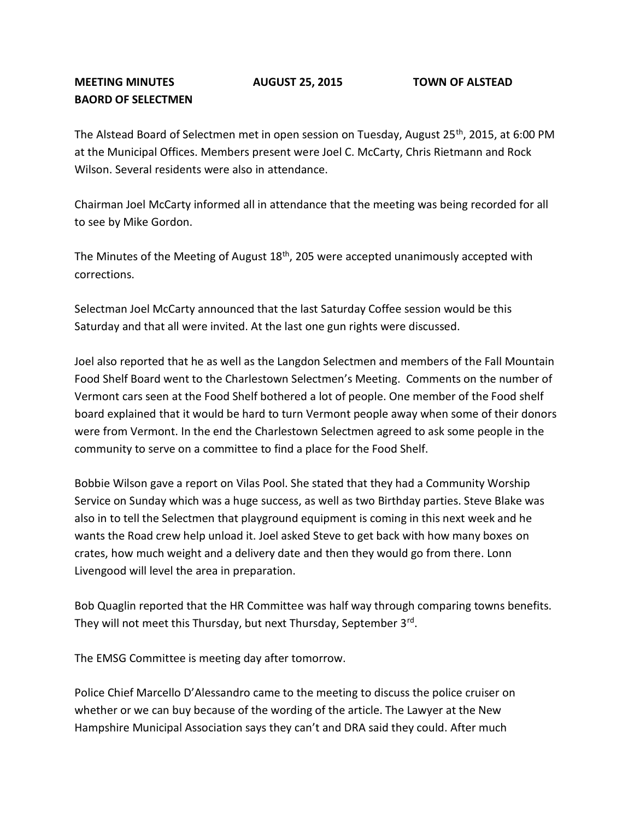## **MEETING MINUTES AUGUST 25, 2015 TOWN OF ALSTEAD BAORD OF SELECTMEN**

The Alstead Board of Selectmen met in open session on Tuesday, August 25<sup>th</sup>, 2015, at 6:00 PM at the Municipal Offices. Members present were Joel C. McCarty, Chris Rietmann and Rock Wilson. Several residents were also in attendance.

Chairman Joel McCarty informed all in attendance that the meeting was being recorded for all to see by Mike Gordon.

The Minutes of the Meeting of August  $18<sup>th</sup>$ , 205 were accepted unanimously accepted with corrections.

Selectman Joel McCarty announced that the last Saturday Coffee session would be this Saturday and that all were invited. At the last one gun rights were discussed.

Joel also reported that he as well as the Langdon Selectmen and members of the Fall Mountain Food Shelf Board went to the Charlestown Selectmen's Meeting. Comments on the number of Vermont cars seen at the Food Shelf bothered a lot of people. One member of the Food shelf board explained that it would be hard to turn Vermont people away when some of their donors were from Vermont. In the end the Charlestown Selectmen agreed to ask some people in the community to serve on a committee to find a place for the Food Shelf.

Bobbie Wilson gave a report on Vilas Pool. She stated that they had a Community Worship Service on Sunday which was a huge success, as well as two Birthday parties. Steve Blake was also in to tell the Selectmen that playground equipment is coming in this next week and he wants the Road crew help unload it. Joel asked Steve to get back with how many boxes on crates, how much weight and a delivery date and then they would go from there. Lonn Livengood will level the area in preparation.

Bob Quaglin reported that the HR Committee was half way through comparing towns benefits. They will not meet this Thursday, but next Thursday, September 3<sup>rd</sup>.

The EMSG Committee is meeting day after tomorrow.

Police Chief Marcello D'Alessandro came to the meeting to discuss the police cruiser on whether or we can buy because of the wording of the article. The Lawyer at the New Hampshire Municipal Association says they can't and DRA said they could. After much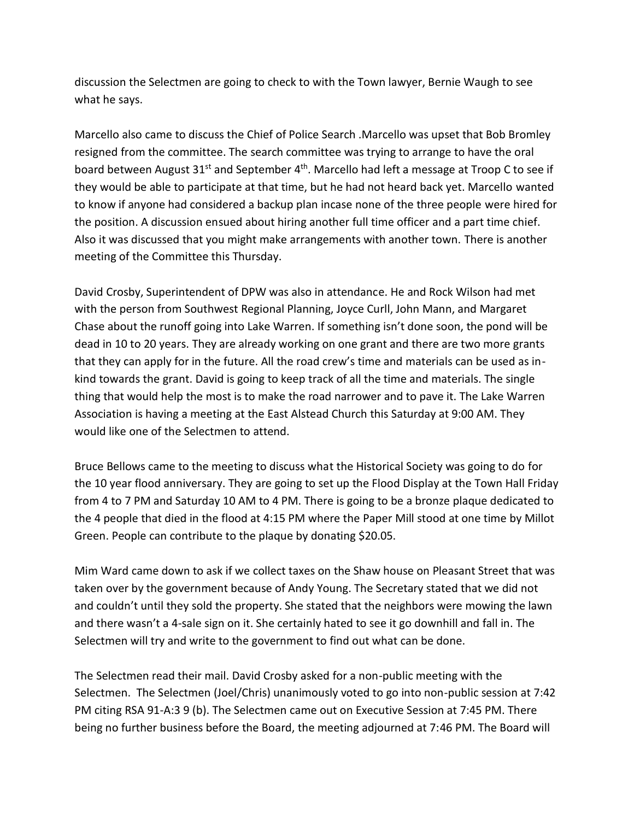discussion the Selectmen are going to check to with the Town lawyer, Bernie Waugh to see what he says.

Marcello also came to discuss the Chief of Police Search .Marcello was upset that Bob Bromley resigned from the committee. The search committee was trying to arrange to have the oral board between August 31<sup>st</sup> and September 4<sup>th</sup>. Marcello had left a message at Troop C to see if they would be able to participate at that time, but he had not heard back yet. Marcello wanted to know if anyone had considered a backup plan incase none of the three people were hired for the position. A discussion ensued about hiring another full time officer and a part time chief. Also it was discussed that you might make arrangements with another town. There is another meeting of the Committee this Thursday.

David Crosby, Superintendent of DPW was also in attendance. He and Rock Wilson had met with the person from Southwest Regional Planning, Joyce Curll, John Mann, and Margaret Chase about the runoff going into Lake Warren. If something isn't done soon, the pond will be dead in 10 to 20 years. They are already working on one grant and there are two more grants that they can apply for in the future. All the road crew's time and materials can be used as inkind towards the grant. David is going to keep track of all the time and materials. The single thing that would help the most is to make the road narrower and to pave it. The Lake Warren Association is having a meeting at the East Alstead Church this Saturday at 9:00 AM. They would like one of the Selectmen to attend.

Bruce Bellows came to the meeting to discuss what the Historical Society was going to do for the 10 year flood anniversary. They are going to set up the Flood Display at the Town Hall Friday from 4 to 7 PM and Saturday 10 AM to 4 PM. There is going to be a bronze plaque dedicated to the 4 people that died in the flood at 4:15 PM where the Paper Mill stood at one time by Millot Green. People can contribute to the plaque by donating \$20.05.

Mim Ward came down to ask if we collect taxes on the Shaw house on Pleasant Street that was taken over by the government because of Andy Young. The Secretary stated that we did not and couldn't until they sold the property. She stated that the neighbors were mowing the lawn and there wasn't a 4-sale sign on it. She certainly hated to see it go downhill and fall in. The Selectmen will try and write to the government to find out what can be done.

The Selectmen read their mail. David Crosby asked for a non-public meeting with the Selectmen. The Selectmen (Joel/Chris) unanimously voted to go into non-public session at 7:42 PM citing RSA 91-A:3 9 (b). The Selectmen came out on Executive Session at 7:45 PM. There being no further business before the Board, the meeting adjourned at 7:46 PM. The Board will